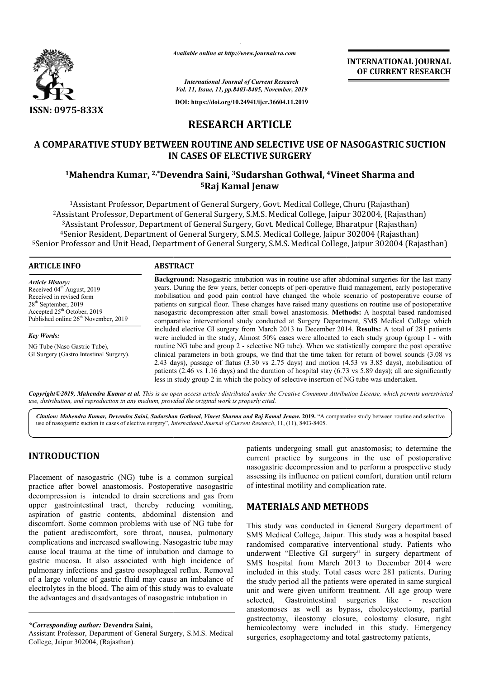

*Available online at http://www.journalcra.com*

**INTERNATIONAL JOURNAL OF CURRENT RESEARCH**

*International Journal of Current Research Vol. 11, Issue, 11, pp.8403-8405, November, 2019*

**DOI: https://doi.org/10.24941/ijcr.36604.11.2019**

# **RESEARCH ARTICLE**

# **A COMPARATIVE STUDY BETWEEN ROUTINE AND SELECTIVE USE OF NASOGASTRIC SUCTION IN CASES OF ELECTIVE SURGERY**

## **1Mahendra Kumar, 2,\*Devendra Devendra Saini, 3Sudarshan Gothwal, 4Vineet Vineet Sharma and 5Raj Kamal Jenaw**

<sup>1</sup>Assistant Professor, Department of General Surgery, Govt. Medical College, Churu (Rajasthan) 2Assistant Professor, Department of General Surgery, S.M.S. Medical College, Jaipur 302004, (Rajasthan) 3Assistant Professor, Department of General Surgery, Govt. Medical College, Bharatpur (Rajasthan) 4Senior Resident, Department of General Surgery, S.M.S. Medical College, Jaipur 302004 (Rajasthan) <sup>5</sup>Senior Professor and Unit Head, Department of General Surgery, S.M.S. Medical College, Jaipur 302004 (Rajasthan)

#### **ARTICLE INFO ABSTRACT**

*Article History:* Received 04<sup>th</sup> August, 2019 Received in revised form 28th September, 2019 Accepted 25<sup>th</sup> October, 2019 Published online 26<sup>th</sup> November, 2019

*Key Words:* NG Tube (Naso Gastric Tube), GI Surgery (Gastro Intestinal Surgery).

Background: Nasogastric intubation was in routine use after abdominal surgeries for the last many years. During the few years, better concepts of peri-operative fluid management, early postoperative mobilisation and good pain control have changed the whole scenario of postoperative course of patients on surgical floor. These changes have raised many questions on routine use of postoperative nasogastric decompression after small bowel anastomosis. **Methods:** A hospital based randomised comparative interventional study conducted at Surgery Department, SMS Medical College which included elective GI surgery from March 2013 to December 2014. **Results:** A total of 281 patients were included in the study, Almost 50% cases were allocated to each study group (group 1 - with routine NG tube and group 2 - selective NG tube). When we statistically compare the post operative clinical parameters in both groups, we find that the time taken for return of bowel sounds (3.08 vs 2.43 days), passage of flatus  $(3.30 \text{ vs } 2.75 \text{ days})$  and motion  $(4.53 \text{ vs } 3.85 \text{ days})$ , mobilisation of patients (2.46 vs 1.16 days) and the duration of hospital stay (6.73 vs 5.89 days); all are significantly less in study group 2 in which the policy of selective insertion of NG tube was undertaken.

Copyright©2019, Mahendra Kumar et al. This is an open access article distributed under the Creative Commons Attribution License, which permits unrestrictea *use, distribution, and reproduction in any medium, provided the original work is properly cited.*

Citation: Mahendra Kumar, Devendra Saini, Sudarshan Gothwal, Vineet Sharma and Raj Kamal Jenaw. 2019. "A comparative study between routine and selective use of nasogastric suction in cases of elective surgery", *International Journal of Current Research*, 11, (11), 8403-8405.

# **INTRODUCTION**

Placement of nasogastric (NG) tube is a common surgical practice after bowel anastomosis. Postoperative nasogastric decompression is intended to drain secretions and gas from upper gastrointestinal tract, thereby reducing vomiting, aspiration of gastric contents, abdominal distension and discomfort. Some common problems with use of NG tube for the patient arediscomfort, sore throat, nausea, pulmonary complications and increased swallowing. Nasogastric tube may cause local trauma at the time of intubation and damage to gastric mucosa. It also associated with high incidence of pulmonary infections and gastro oesophageal reflux. Removal of a large volume of gastric fluid may cause an imbalance of electrolytes in the blood. The aim of this study was to evaluate the advantages and disadvantages of nasogastric intubation in

*\*Corresponding author:* **Devendra Saini,**

Assistant Professor, Department of General Surgery, S.M.S. Medical College, Jaipur 302004, (Rajasthan).

patients undergoing small gut anastomosis; to determine the current practice by surgeons in the use of postoperative nasogastric decompression and to perform a prospective study assessing its influence on patient comfort, duration until return of intestinal motility and complication rate.

## **MATERIALS AND METHODS METHODS**

This study was conducted in General Surgery department of SMS Medical College, Jaipur. This study was a hospital based randomised comparative interventional study. Patients who underwent "Elective GI surgery" in surgery department of SMS hospital from March 2013 2013 to December 2014 were included in this study. Total cases were 281 patients. During the study period all the patients were operated in same surgical unit and were given uniform treatment. All age group were selected, Gastrointestinal anastomoses as well as bypass, cholecystectomy, partial gastrectomy, ileostomy closure, colostomy closure, right hemicolectomy were included in this study. Emergency surgeries, esophagectomy and total gastrectomy patients, surgeries like - resection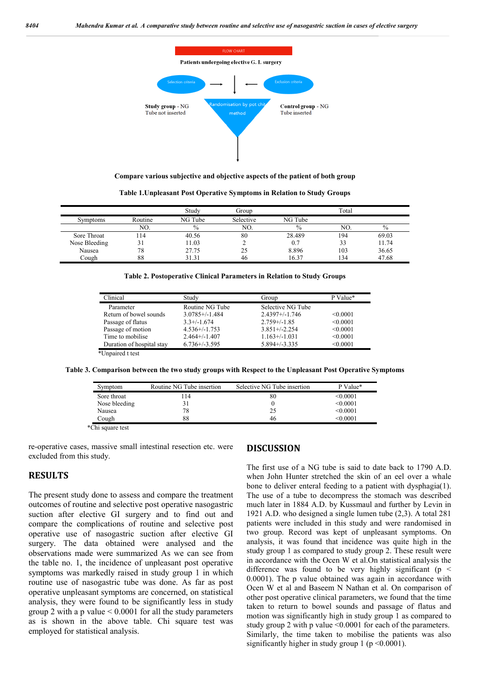

**Compare various subjective and objective aspects of the patient of both group**

**Table 1.Unpleasant Post Operative Symptoms in Relation to Study Groups**

|                 |         | Studv         | Group     |               | Total |       |
|-----------------|---------|---------------|-----------|---------------|-------|-------|
| <b>Symptoms</b> | Routine | NG Tube       | Selective | NG Tube       |       |       |
|                 | NO.     | $\frac{0}{0}$ | NO.       | $\frac{0}{0}$ | NO.   | $\%$  |
| Sore Throat     | 114     | 40.56         | 80        | 28.489        | 194   | 69.03 |
| Nose Bleeding   |         | 11.03         |           | 0.7           | 33    | 11.74 |
| Nausea          | 78      | 27.75         | 25        | 8.896         | 103   | 36.65 |
| Cough           | 88      | 31.31         | 46        | 16.37         | !34   | 47.68 |

|  | Table 2. Postoperative Clinical Parameters in Relation to Study Groups |  |  |
|--|------------------------------------------------------------------------|--|--|
|  |                                                                        |  |  |

| Clinical                  | Study               | Group               | P Value* |
|---------------------------|---------------------|---------------------|----------|
| Parameter                 | Routine NG Tube     | Selective NG Tube   |          |
| Return of bowel sounds    | $3.0785 + (-1.484)$ | $2.4397 + (-1.746)$ | < 0.0001 |
| Passage of flatus         | $3.3+/1.674$        | $2.759 + (-1.85)$   | < 0.0001 |
| Passage of motion         | $4.536+/-1.753$     | $3.851 + (-2.254)$  | < 0.0001 |
| Time to mobilise          | $2.464+/1.407$      | $1.163+/1.031$      | < 0.0001 |
| Duration of hospital stay | $6.736 + (-3.595)$  | $5.894 + (-3.335)$  | < 0.0001 |

**Table 3. Comparison between the two study groups with Respect to the Unpleasant Post Operative Symptoms**

| Symptom       | Routine NG Tube insertion | Selective NG Tube insertion | P Value* |
|---------------|---------------------------|-----------------------------|----------|
| Sore throat   | 14                        | 80                          | < 0.0001 |
| Nose bleeding |                           |                             | < 0.0001 |
| Nausea        | 78                        | 25                          | < 0.0001 |
| Cough         | 88                        | 46                          | < 0.0001 |

\*Chi square test

re-operative cases, massive small intestinal resection etc. were excluded from this study.

## **RESULTS**

The present study done to assess and compare the treatment outcomes of routine and selective post operative nasogastric suction after elective GI surgery and to find out and compare the complications of routine and selective post operative use of nasogastric suction after elective GI surgery. The data obtained were analysed and the observations made were summarized As we can see from the table no. 1, the incidence of unpleasant post operative symptoms was markedly raised in study group 1 in which routine use of nasogastric tube was done. As far as post operative unpleasant symptoms are concerned, on statistical analysis, they were found to be significantly less in study group 2 with a p value < 0.0001 for all the study parameters as is shown in the above table. Chi square test was employed for statistical analysis.

### **DISCUSSION**

The first use of a NG tube is said to date back to 1790 A.D. when John Hunter stretched the skin of an eel over a whale bone to deliver enteral feeding to a patient with dysphagia(1). The use of a tube to decompress the stomach was described much later in 1884 A.D. by Kussmaul and further by Levin in 1921 A.D. who designed a single lumen tube (2,3). A total 281 patients were included in this study and were randomised in two group. Record was kept of unpleasant symptoms. On analysis, it was found that incidence was quite high in the study group 1 as compared to study group 2. These result were in accordance with the Ocen W et al.On statistical analysis the difference was found to be very highly significant ( $p \le$ 0.0001). The p value obtained was again in accordance with Ocen W et al and Baseem N Nathan et al. On comparison of other post operative clinical parameters, we found that the time taken to return to bowel sounds and passage of flatus and motion was significantly high in study group 1 as compared to study group 2 with p value <0.0001 for each of the parameters. Similarly, the time taken to mobilise the patients was also significantly higher in study group 1 ( $p \le 0.0001$ ).